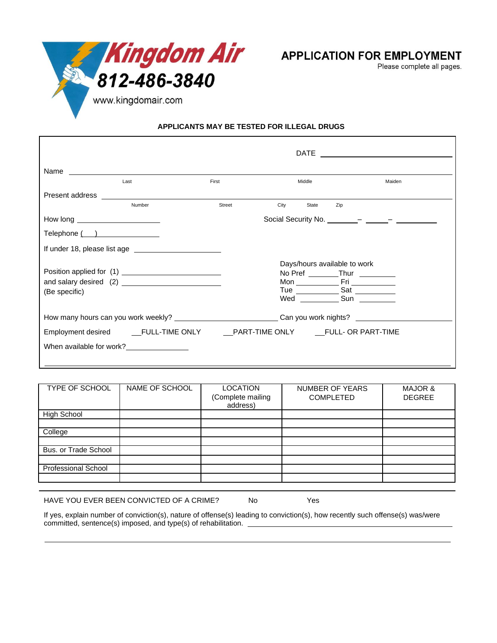

**APPLICATION FOR EMPLOYMENT** 

Please complete all pages.

**APPLICANTS MAY BE TESTED FOR ILLEGAL DRUGS**

|                                                                                                      | Last                                 | First  | Middle                       | Maiden                               |
|------------------------------------------------------------------------------------------------------|--------------------------------------|--------|------------------------------|--------------------------------------|
| Present address <b>Exercises</b>                                                                     |                                      |        |                              |                                      |
|                                                                                                      | Number                               | Street | City<br>State                | Zip                                  |
| How long _________________________                                                                   |                                      |        |                              |                                      |
| Telephone ( ) ________________                                                                       |                                      |        |                              |                                      |
|                                                                                                      | If under 18, please list age         |        |                              |                                      |
|                                                                                                      |                                      |        | Days/hours available to work |                                      |
|                                                                                                      |                                      |        |                              | No Pref ________Thur _________       |
|                                                                                                      |                                      |        |                              |                                      |
| (Be specific)                                                                                        |                                      |        |                              | Tue <u>___________</u> Sat _________ |
|                                                                                                      |                                      |        |                              |                                      |
| How many hours can you work weekly? _______________________________Can you work nights? ____________ |                                      |        |                              |                                      |
|                                                                                                      |                                      |        |                              |                                      |
|                                                                                                      | When available for work?<br><u>[</u> |        |                              |                                      |
|                                                                                                      |                                      |        |                              |                                      |

| <b>TYPE OF SCHOOL</b>       | NAME OF SCHOOL | LOCATION<br>(Complete mailing<br>address) | NUMBER OF YEARS<br><b>COMPLETED</b> | <b>MAJOR &amp;</b><br><b>DEGREE</b> |
|-----------------------------|----------------|-------------------------------------------|-------------------------------------|-------------------------------------|
| <b>High School</b>          |                |                                           |                                     |                                     |
|                             |                |                                           |                                     |                                     |
| College                     |                |                                           |                                     |                                     |
|                             |                |                                           |                                     |                                     |
| <b>Bus. or Trade School</b> |                |                                           |                                     |                                     |
|                             |                |                                           |                                     |                                     |
| Professional School         |                |                                           |                                     |                                     |
|                             |                |                                           |                                     |                                     |
|                             |                |                                           |                                     |                                     |

HAVE YOU EVER BEEN CONVICTED OF A CRIME? No Yes

If yes, explain number of conviction(s), nature of offense(s) leading to conviction(s), how recently such offense(s) was/were committed, sentence(s) imposed, and type(s) of rehabilitation.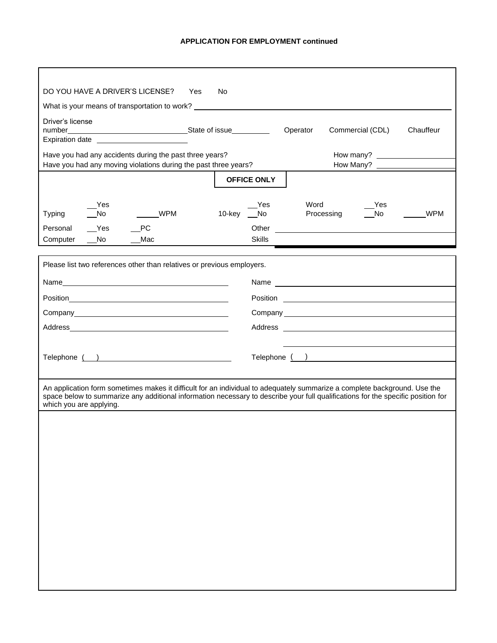| DO YOU HAVE A DRIVER'S LICENSE?                                                                                                                                                                                                                                                          | Yes<br>No.             |                                                            |            |
|------------------------------------------------------------------------------------------------------------------------------------------------------------------------------------------------------------------------------------------------------------------------------------------|------------------------|------------------------------------------------------------|------------|
| What is your means of transportation to work? __________________________________                                                                                                                                                                                                         |                        |                                                            |            |
| Driver's license                                                                                                                                                                                                                                                                         |                        | Operator<br>Commercial (CDL)                               | Chauffeur  |
| Expiration date <u>example and the set of the set of the set of the set of the set of the set of the set of the set of the set of the set of the set of the set of the set of the set of the set of the set of the set of the se</u>                                                     |                        |                                                            |            |
| Have you had any accidents during the past three years?                                                                                                                                                                                                                                  |                        | How many?                                                  |            |
| Have you had any moving violations during the past three years?                                                                                                                                                                                                                          |                        | How Many?                                                  |            |
|                                                                                                                                                                                                                                                                                          | <b>OFFICE ONLY</b>     |                                                            |            |
| Yes<br>$\sqrt{N}$<br><b>WPM</b><br><b>Typing</b>                                                                                                                                                                                                                                         | Yes<br>10-key __No     | Word<br>Yes<br><b>No</b><br>Processing                     | <b>WPM</b> |
| Personal<br>Yes<br><b>PC</b><br>$\sqrt{N}$<br>Mac                                                                                                                                                                                                                                        | Other<br><b>Skills</b> | <u> 1989 - Jan Samuel Barbara, margaret e</u>              |            |
| Computer                                                                                                                                                                                                                                                                                 |                        |                                                            |            |
| Please list two references other than relatives or previous employers.                                                                                                                                                                                                                   |                        |                                                            |            |
|                                                                                                                                                                                                                                                                                          |                        | Name                                                       |            |
|                                                                                                                                                                                                                                                                                          |                        |                                                            |            |
|                                                                                                                                                                                                                                                                                          |                        |                                                            |            |
|                                                                                                                                                                                                                                                                                          |                        |                                                            |            |
|                                                                                                                                                                                                                                                                                          |                        | <u> 1989 - Johann Barn, amerikansk politiker (d. 1989)</u> |            |
| Telephone ( )                                                                                                                                                                                                                                                                            |                        | Telephone ( )                                              |            |
|                                                                                                                                                                                                                                                                                          |                        |                                                            |            |
| An application form sometimes makes it difficult for an individual to adequately summarize a complete background. Use the<br>space below to summarize any additional information necessary to describe your full qualifications for the specific position for<br>which you are applying. |                        |                                                            |            |
|                                                                                                                                                                                                                                                                                          |                        |                                                            |            |
|                                                                                                                                                                                                                                                                                          |                        |                                                            |            |
|                                                                                                                                                                                                                                                                                          |                        |                                                            |            |
|                                                                                                                                                                                                                                                                                          |                        |                                                            |            |
|                                                                                                                                                                                                                                                                                          |                        |                                                            |            |
|                                                                                                                                                                                                                                                                                          |                        |                                                            |            |
|                                                                                                                                                                                                                                                                                          |                        |                                                            |            |
|                                                                                                                                                                                                                                                                                          |                        |                                                            |            |
|                                                                                                                                                                                                                                                                                          |                        |                                                            |            |
|                                                                                                                                                                                                                                                                                          |                        |                                                            |            |
|                                                                                                                                                                                                                                                                                          |                        |                                                            |            |
|                                                                                                                                                                                                                                                                                          |                        |                                                            |            |
|                                                                                                                                                                                                                                                                                          |                        |                                                            |            |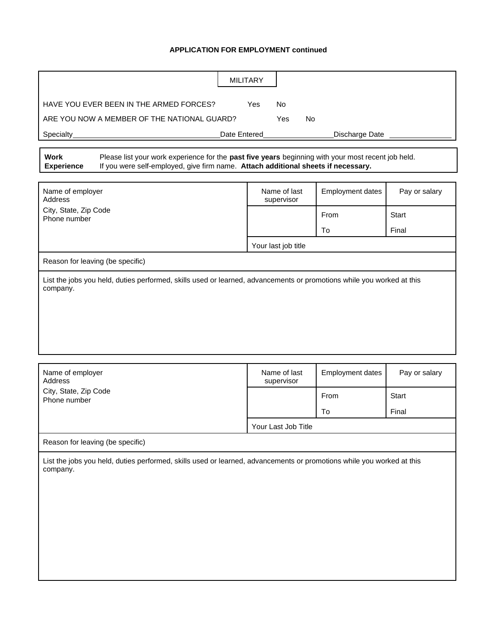|                                                                                                                                   |                                                                                                                                                                                         | <b>MILITARY</b>            |                         |               |  |
|-----------------------------------------------------------------------------------------------------------------------------------|-----------------------------------------------------------------------------------------------------------------------------------------------------------------------------------------|----------------------------|-------------------------|---------------|--|
| HAVE YOU EVER BEEN IN THE ARMED FORCES?<br>Yes<br><b>No</b>                                                                       |                                                                                                                                                                                         |                            |                         |               |  |
| ARE YOU NOW A MEMBER OF THE NATIONAL GUARD?<br>Yes<br>No                                                                          |                                                                                                                                                                                         |                            |                         |               |  |
| Specialty                                                                                                                         |                                                                                                                                                                                         | Date Entered               | Discharge Date          |               |  |
|                                                                                                                                   |                                                                                                                                                                                         |                            |                         |               |  |
| <b>Work</b><br><b>Experience</b>                                                                                                  | Please list your work experience for the past five years beginning with your most recent job held.<br>If you were self-employed, give firm name. Attach additional sheets if necessary. |                            |                         |               |  |
| Name of employer<br>Address                                                                                                       |                                                                                                                                                                                         | Name of last<br>supervisor | <b>Employment dates</b> | Pay or salary |  |
| City, State, Zip Code<br>Phone number                                                                                             |                                                                                                                                                                                         |                            | From                    | <b>Start</b>  |  |
|                                                                                                                                   |                                                                                                                                                                                         |                            | To                      | Final         |  |
|                                                                                                                                   |                                                                                                                                                                                         | Your last job title        |                         |               |  |
| Reason for leaving (be specific)                                                                                                  |                                                                                                                                                                                         |                            |                         |               |  |
|                                                                                                                                   |                                                                                                                                                                                         |                            |                         |               |  |
| Name of employer<br>Address                                                                                                       |                                                                                                                                                                                         | Name of last<br>supervisor | <b>Employment dates</b> | Pay or salary |  |
| City, State, Zip Code<br>Phone number                                                                                             |                                                                                                                                                                                         |                            | From                    | Start         |  |
|                                                                                                                                   |                                                                                                                                                                                         |                            | To                      | Final         |  |
|                                                                                                                                   | Your Last Job Title                                                                                                                                                                     |                            |                         |               |  |
| Reason for leaving (be specific)                                                                                                  |                                                                                                                                                                                         |                            |                         |               |  |
| List the jobs you held, duties performed, skills used or learned, advancements or promotions while you worked at this<br>company. |                                                                                                                                                                                         |                            |                         |               |  |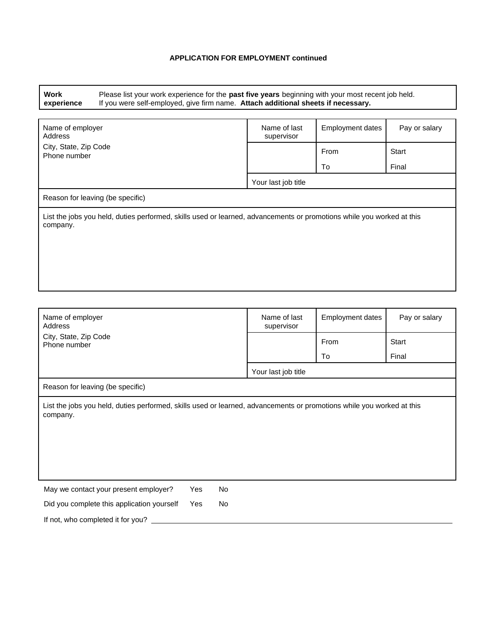**Work experience** Please list your work experience for the **past five years** beginning with your most recent job held. If you were self-employed, give firm name. **Attach additional sheets if necessary.**

| Name of employer<br>Address                                                                                                       | Name of last<br>supervisor | Employment dates | Pay or salary |  |
|-----------------------------------------------------------------------------------------------------------------------------------|----------------------------|------------------|---------------|--|
| City, State, Zip Code<br>Phone number                                                                                             |                            | From             | Start         |  |
|                                                                                                                                   |                            | To               | Final         |  |
|                                                                                                                                   | Your last job title        |                  |               |  |
| Reason for leaving (be specific)                                                                                                  |                            |                  |               |  |
| List the jobs you held, duties performed, skills used or learned, advancements or promotions while you worked at this<br>company. |                            |                  |               |  |
|                                                                                                                                   |                            |                  |               |  |
|                                                                                                                                   |                            |                  |               |  |
|                                                                                                                                   |                            |                  |               |  |

| Name of employer<br>Address                                                                                                       |                  | Name of last<br>supervisor | Employment dates | Pay or salary |  |
|-----------------------------------------------------------------------------------------------------------------------------------|------------------|----------------------------|------------------|---------------|--|
| City, State, Zip Code<br>Phone number                                                                                             |                  |                            | From             | Start         |  |
|                                                                                                                                   |                  |                            | To               | Final         |  |
|                                                                                                                                   |                  | Your last job title        |                  |               |  |
| Reason for leaving (be specific)                                                                                                  |                  |                            |                  |               |  |
| List the jobs you held, duties performed, skills used or learned, advancements or promotions while you worked at this<br>company. |                  |                            |                  |               |  |
| May we contact your present employer?                                                                                             | <b>No</b><br>Yes |                            |                  |               |  |
| Did you complete this application yourself                                                                                        | Yes<br>No        |                            |                  |               |  |
| If not, who completed it for you?                                                                                                 |                  |                            |                  |               |  |